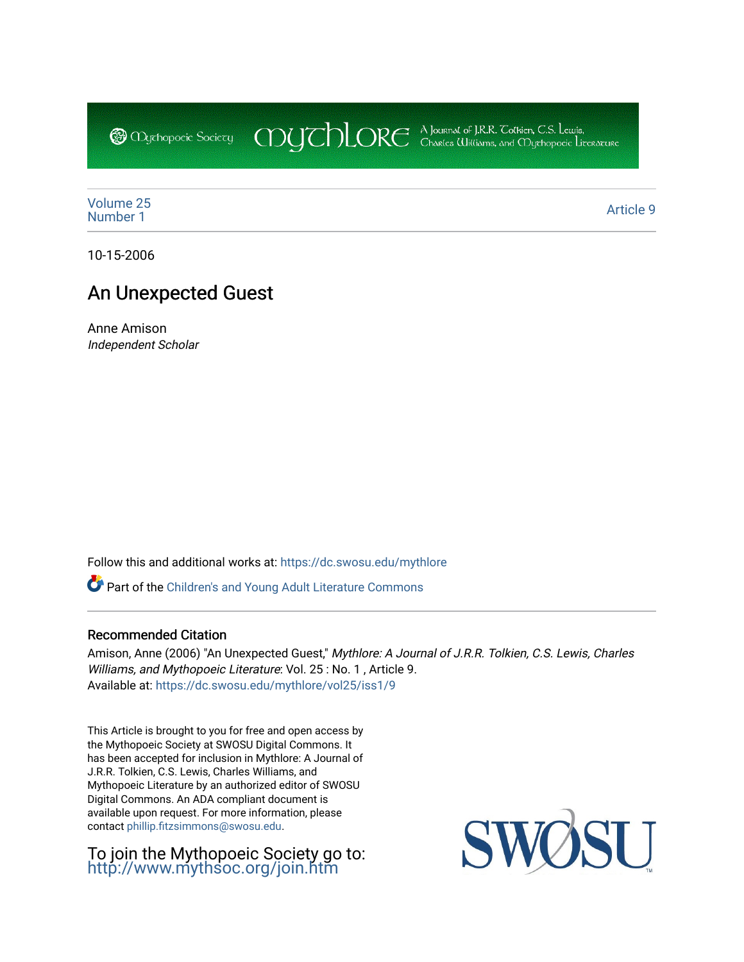CDUCHLORE A Journal of J.R.R. Coltien, C.S. Lewis,<br>CDUCHLORE Charles Williams, and Obyethopoeic Literacure **@** *Oychopoeic* Sociecy

[Volume 25](https://dc.swosu.edu/mythlore/vol25) [Number 1](https://dc.swosu.edu/mythlore/vol25/iss1) Article 9<br>Number 1

10-15-2006

# An Unexpected Guest

Anne Amison Independent Scholar

Follow this and additional works at: [https://dc.swosu.edu/mythlore](https://dc.swosu.edu/mythlore?utm_source=dc.swosu.edu%2Fmythlore%2Fvol25%2Fiss1%2F9&utm_medium=PDF&utm_campaign=PDFCoverPages) 

Part of the [Children's and Young Adult Literature Commons](http://network.bepress.com/hgg/discipline/1289?utm_source=dc.swosu.edu%2Fmythlore%2Fvol25%2Fiss1%2F9&utm_medium=PDF&utm_campaign=PDFCoverPages) 

### Recommended Citation

Amison, Anne (2006) "An Unexpected Guest," Mythlore: A Journal of J.R.R. Tolkien, C.S. Lewis, Charles Williams, and Mythopoeic Literature: Vol. 25 : No. 1, Article 9. Available at: [https://dc.swosu.edu/mythlore/vol25/iss1/9](https://dc.swosu.edu/mythlore/vol25/iss1/9?utm_source=dc.swosu.edu%2Fmythlore%2Fvol25%2Fiss1%2F9&utm_medium=PDF&utm_campaign=PDFCoverPages) 

This Article is brought to you for free and open access by the Mythopoeic Society at SWOSU Digital Commons. It has been accepted for inclusion in Mythlore: A Journal of J.R.R. Tolkien, C.S. Lewis, Charles Williams, and Mythopoeic Literature by an authorized editor of SWOSU Digital Commons. An ADA compliant document is available upon request. For more information, please contact [phillip.fitzsimmons@swosu.edu.](mailto:phillip.fitzsimmons@swosu.edu)

To join the Mythopoeic Society go to: <http://www.mythsoc.org/join.htm>

SWO SU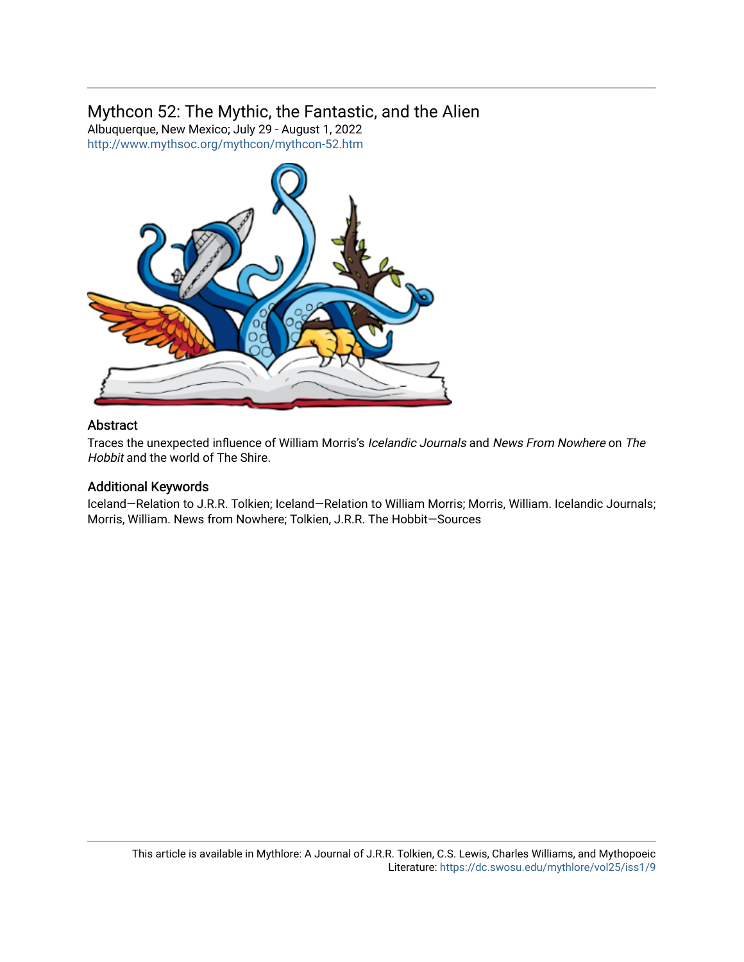# Mythcon 52: The Mythic, the Fantastic, and the Alien

Albuquerque, New Mexico; July 29 - August 1, 2022 <http://www.mythsoc.org/mythcon/mythcon-52.htm>



## Abstract

Traces the unexpected influence of William Morris's Icelandic Journals and News From Nowhere on The Hobbit and the world of The Shire.

## Additional Keywords

Iceland—Relation to J.R.R. Tolkien; Iceland—Relation to William Morris; Morris, William. Icelandic Journals; Morris, William. News from Nowhere; Tolkien, J.R.R. The Hobbit—Sources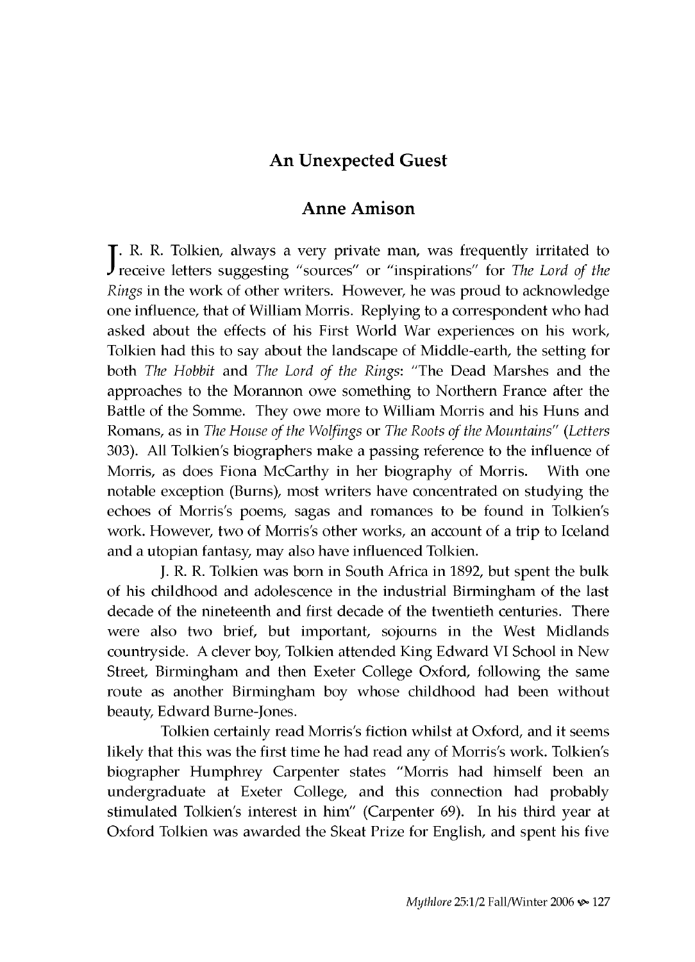## **An Unexpected Guest**

### **Anne Amison**

J. R. R. Tolkien, always a very private man, was frequently irritated to receive letters suggesting "sources" or "inspirations" for *The Lord of the Rings* in the work of other writers. However, he was proud to acknowledge one influence, that of William Morris. Replying to a correspondent who had asked about the effects of his First World War experiences on his work, Tolkien had this to say about the landscape of Middle-earth, the setting for both *The Hobbit* and *The Lord of the Rings*: "The Dead Marshes and the approaches to the Morannon owe something to Northern France after the Battle of the Somme. They owe more to William Morris and his Huns and Romans, as in *The House of the Wolfings* or *The Roots of the Mountains" (Letters* 303). All Tolkien's biographers make a passing reference to the influence of Morris, as does Fiona McCarthy in her biography of Morris. With one notable exception (Burns), most writers have concentrated on studying the echoes of Morris's poems, sagas and romances to be found in Tolkien's work. However, two of Morris's other works, an account of a trip to Iceland and a utopian fantasy, may also have influenced Tolkien.

J. R. R. Tolkien was born in South Africa in 1892, but spent the bulk of his childhood and adolescence in the industrial Birmingham of the last decade of the nineteenth and first decade of the twentieth centuries. There were also two brief, but important, sojourns in the West Midlands countryside. A clever boy, Tolkien attended King Edward VI School in New Street, Birmingham and then Exeter College Oxford, following the same route as another Birmingham boy whose childhood had been without beauty, Edward Burne-Jones.

Tolkien certainly read Morris's fiction w hilst at Oxford, and it seems likely that this was the first time he had read any of Morris's work. Tolkien's biographer Humphrey Carpenter states "Morris had himself been an undergraduate at Exeter College, and this connection had probably stimulated Tolkien's interest in him" (Carpenter 69). In his third year at Oxford Tolkien was awarded the Skeat Prize for English, and spent his five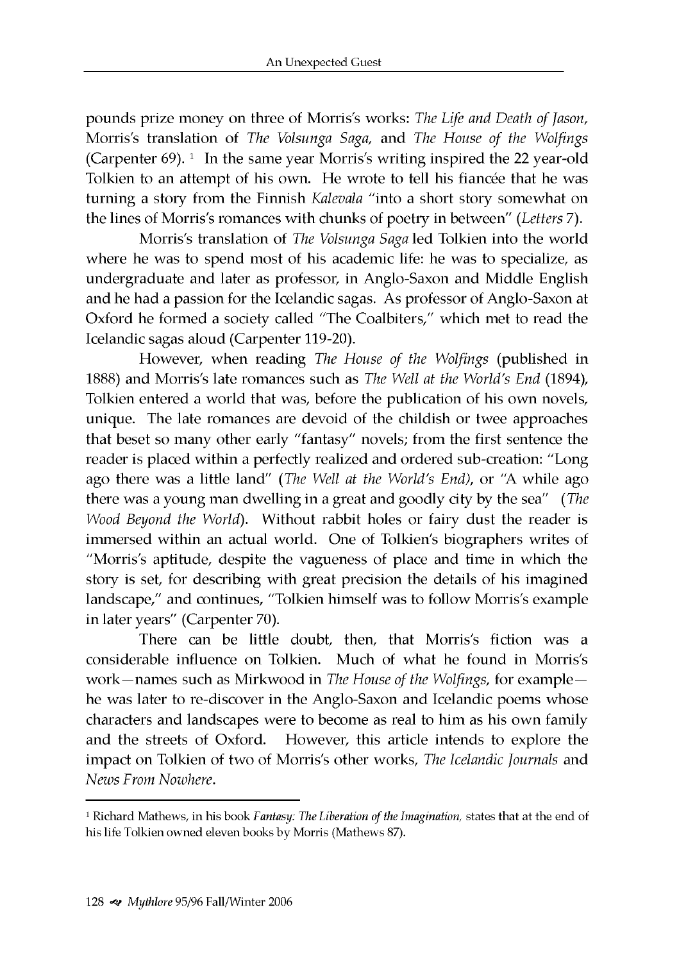pounds prize m oney on three of Morris's works: *The Life and Death of Jason,* Morris's translation of *The Volsunga Saga,* and *The House of the Wolfings* (Carpenter  $69$ ). <sup>1</sup> In the same year Morris's writing inspired the 22 year-old Tolkien to an attempt of his own. He wrote to tell his fiancée that he was turning a story from the Finnish *Kalevala* "into a short story somewhat on the lines of Morris's romances w ith chunks of poetry in between" *(Letters* 7).

Morris's translation of *The Volsunga Saga* led Tolkien into the world where he was to spend most of his academic life: he was to specialize, as undergraduate and later as professor, in Anglo-Saxon and Middle English and he had a passion for the Icelandic sagas. As professor of Anglo-Saxon at Oxford he formed a society called "The Coalbiters," which met to read the Icelandic sagas aloud (Carpenter 119-20).

However, w hen reading *The House of the Wolfings* (published in 1888) and Morris's late rom ances such as *The Well at the World's End* (1894), Tolkien entered a world that was, before the publication of his own novels, unique. The late romances are devoid of the childish or twee approaches that beset so many other early "fantasy" novels; from the first sentence the reader is placed within a perfectly realized and ordered sub-creation: "Long ago there was a little land" *(The Well at the World's End),* or "A while ago there was a young man dwelling in a great and goodly city by the sea" (*The Wood Beyond the World*). Without rabbit holes or fairy dust the reader is im mersed within an actual world. One of Tolkien's biographers writes of "Morris's aptitude, despite the vagueness of place and time in which the story is set, for describing with great precision the details of his imagined landscape," and continues, "Tolkien himself was to follow Morris's example in later years" (Carpenter 70).

There can be little doubt, then, that Morris's fiction was a considerable influence on Tolkien. Much of what he found in Morris's work—names such as Mirkwood in *The House of the Wolfings*, for example he was later to re-discover in the Anglo-Saxon and Icelandic poems whose characters and landscapes were to become as real to him as his own family and the streets of Oxford. However, this article intends to explore the impact on Tolkien of two of Morris's other works, *The Icelandic Journals* and *News From Nowhere.*

<sup>1</sup> Richard Mathews, in his book *Fantasy: The Liberation of the Imagination,* states that at the end of his life Tolkien owned eleven books by Morris (Mathews 87).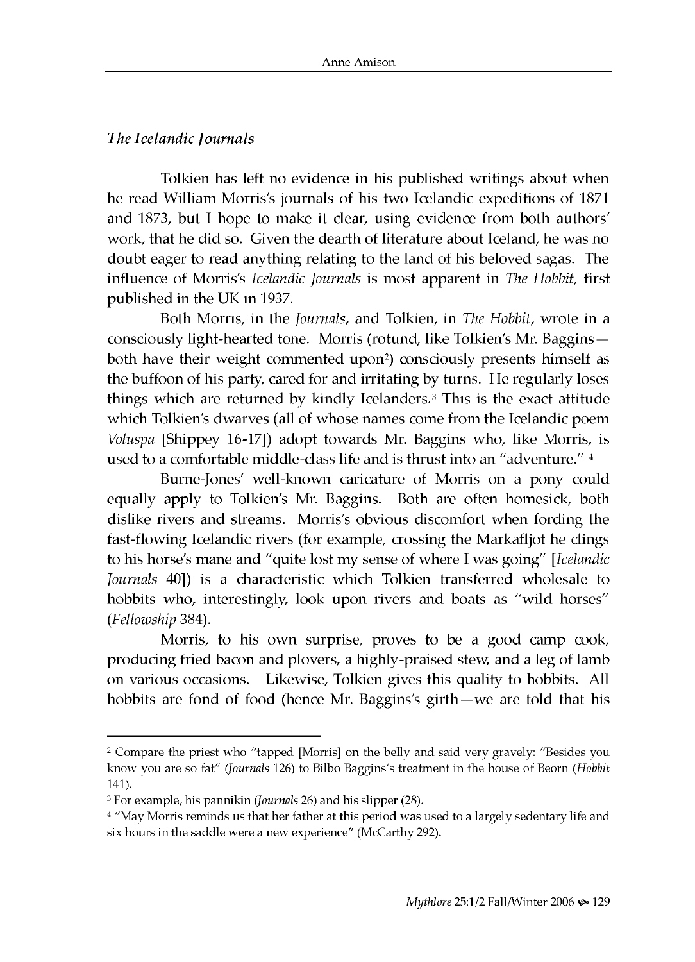### *The Icelandic Journals*

Tolkien has left no evidence in his published writings about when he read William Morris's journals of his two Icelandic expeditions of 1871 and 1873, but I hope to make it clear, using evidence from both authors' work, that he did so. Given the dearth of literature about Iceland, he was no doubt eager to read anything relating to the land of his beloved sagas. The influence of Morris's *Icelandic Journals* is most apparent in *The Hobbit*, first published in the UK in 1937.

Both Morris, in the *Journals*, and Tolkien, in *The Hobbit*, wrote in a consciously light-hearted tone. Morris (rotund, like Tolkien's Mr. Baggins both have their weight commented upon<sup>2</sup>) consciously presents himself as the buffoon of his party, cared for and irritating by turns. He regularly loses things which are returned by kindly Icelanders.<sup>3</sup> This is the exact attitude which Tolkien's dwarves (all of whose names come from the Icelandic poem *Voluspa* [Shippey 16-17]) adopt towards Mr. Baggins who, like Morris, is used to a comfortable middle-class life and is thrust into an "adventure."  $4$ 

Burne-Jones' well-known caricature of Morris on a pony could equally apply to Tolkien's Mr. Baggins. Both are often homesick, both dislike rivers and streams. Morris's obvious discomfort when fording the fast-flowing Icelandic rivers (for example, crossing the Markafljot he clings to his horse's m ane and "quite lost my sense of w here I was going" *[Icelandic Journals* 40]) is a characteristic which Tolkien transferred wholesale to hobbits who, interestingly, look upon rivers and boats as "wild horses" (*Fellowship* 384).

Morris, to his own surprise, proves to be a good camp cook, producing fried bacon and plovers, a highly-praised stew, and a leg of lamb on various occasions. Likewise, Tolkien gives this quality to hobbits. All hobbits are fond of food (hence Mr. Baggins's girth —we are told that his

<sup>2</sup> Compare the priest who "tapped [Morris] on the belly and said very gravely: "Besides you know you are so fat" *(Journals* 126) to Bilbo Baggins's treatment in the house of Beorn *(Hobbit* 141).

<sup>3</sup> For example, his pannikin *(Journals* 26) and his slipper (28).

<sup>&</sup>lt;sup>4</sup> "May Morris reminds us that her father at this period was used to a largely sedentary life and six hours in the saddle were a new experience" (McCarthy 292).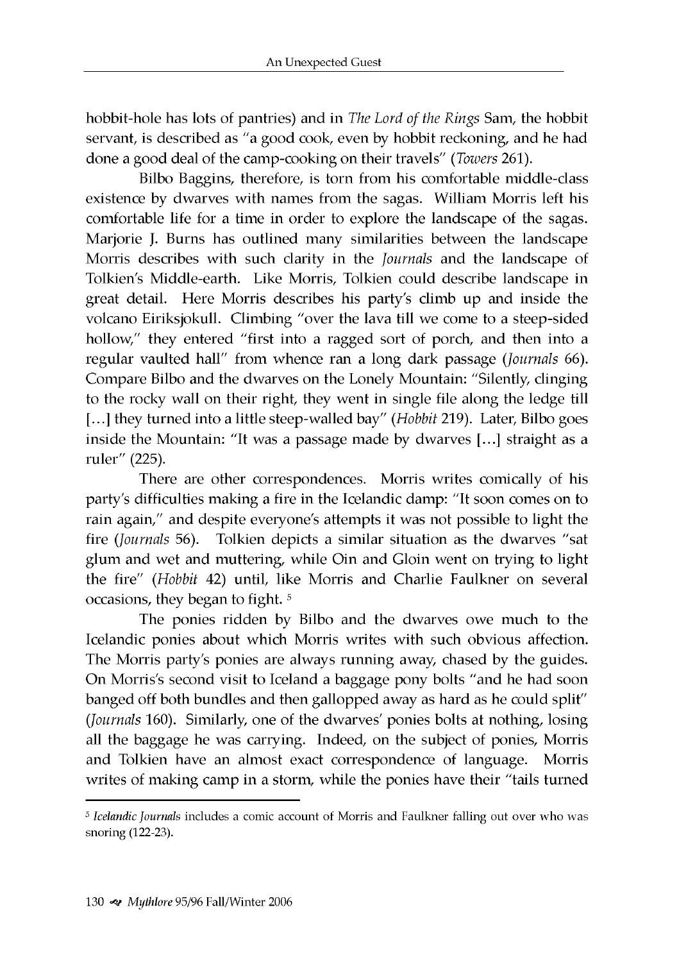hobbit-hole has lots of pantries) and in *The Lord of the Rings* Sam, the hobbit servant, is described as "a good cook, even by hobbit reckoning, and he had done a good deal of the camp-cooking on their travels" *(Towers* 261).

Bilbo Baggins, therefore, is torn from his comfortable middle-class existence by dwarves with names from the sagas. William Morris left his comfortable life for a time in order to explore the landscape of the sagas. Marjorie J. Burns has outlined many similarities between the landscape Morris describes with such clarity in the *Journals* and the landscape of Tolkien's Middle-earth. Like Morris, Tolkien could describe landscape in great detail. Here Morris describes his party's climb up and inside the volcano Eiriksjokull. Climbing "over the lava till we come to a steep-sided hollow," they entered "first into a ragged sort of porch, and then into a regular vaulted hall" from whence ran a long dark passage (*Journals* 66). Compare Bilbo and the dwarves on the Lonely Mountain: "Silently, clinging to the rocky wall on their right, they went in single file along the ledge till [...] they turned into a little steep-walled bay" *(Hobbit* 219). Later, Bilbo goes inside the Mountain: "It was a passage made by dwarves [...] straight as a ruler" (225).

There are other correspondences. Morris writes comically of his party's difficulties making a fire in the Icelandic damp: "It soon comes on to rain again," and despite everyone's attempts it was not possible to light the fire (*Journals* 56). Tolkien depicts a similar situation as the dwarves "sat glum and wet and muttering, while Oin and Gloin went on trying to light the fire" (Hobbit 42) until, like Morris and Charlie Faulkner on several occasions, they began to fight. 5

The ponies ridden by Bilbo and the dwarves owe much to the Icelandic ponies about which Morris writes with such obvious affection. The Morris party's ponies are always running away, chased by the guides. On Morris's second visit to Iceland a baggage pony bolts "and he had soon banged off both bundles and then gallopped away as hard as he could split" (*Journals* 160). Similarly, one of the dwarves' ponies bolts at nothing, losing all the baggage he was carrying. Indeed, on the subject of ponies, Morris and Tolkien have an almost exact correspondence of language. Morris writes of making camp in a storm, while the ponies have their "tails turned

<sup>5</sup> *Icelandic Journals* includes a comic account of Morris and Faulkner falling out over who was snoring (122-23).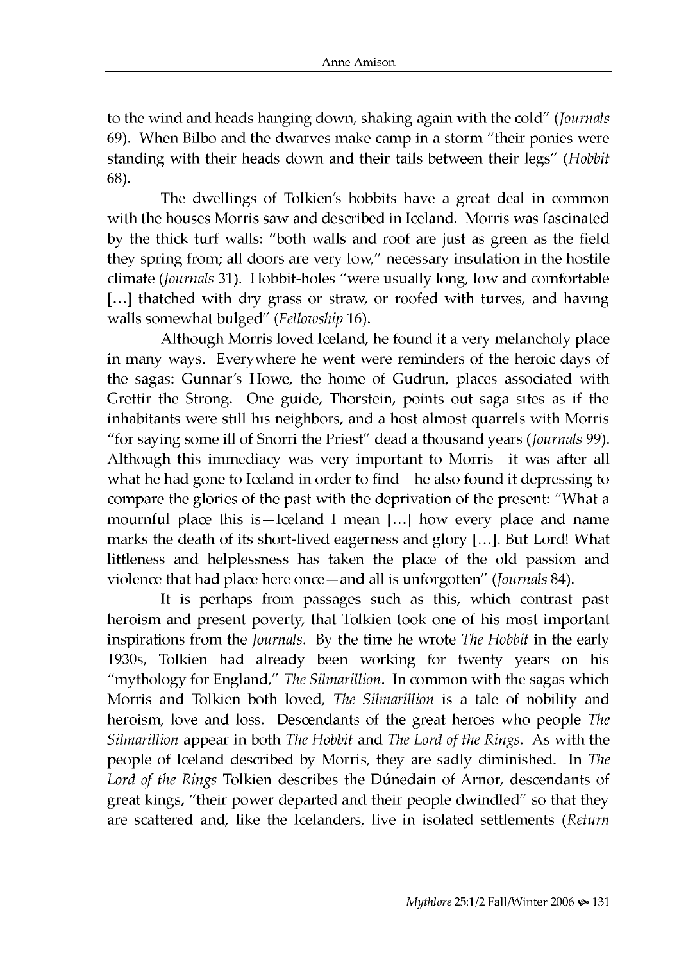to the w ind and heads hanging down, shaking again w ith the cold" *(Journals* 69). When Bilbo and the dwarves make camp in a storm "their ponies were standing with their heads down and their tails between their legs" (Hobbit 68).

The dwellings of Tolkien's hobbits have a great deal in common with the houses Morris saw and described in Iceland. Morris was fascinated by the thick turf walls: "both walls and roof are just as green as the field they spring from; all doors are very low," necessary insulation in the hostile climate (*Journals* 31). Hobbit-holes "were usually long, low and comfortable [...] thatched with dry grass or straw, or roofed with turves, and having walls somewhat bulged" (Fellowship 16).

Although Morris loved Iceland, he found it a very melancholy place in many ways. Everywhere he went were reminders of the heroic days of the sagas: Gunnar's Howe, the home of Gudrun, places associated with Grettir the Strong. One guide, Thorstein, points out saga sites as if the inhabitants were still his neighbors, and a host almost quarrels with Morris "for saying some ill of Snorri the Priest" dead a thousand years *(Journals* 99). Although this immediacy was very important to Morris-it was after all what he had gone to Iceland in order to find—he also found it depressing to compare the glories of the past with the deprivation of the present: "What a mournful place this is—Iceland I mean [...] how every place and name marks the death of its short-lived eagerness and glory [...]. But Lord! What littleness and helplessness has taken the place of the old passion and violence that had place here once—and all is unforgotten" (*Journals* 84).

It is perhaps from passages such as this, which contrast past heroism and present poverty, that Tolkien took one of his most important inspirations from the *Journals*. By the time he wrote *The Hobbit* in the early 1930s, Tolkien had already been working for twenty years on his "mythology for England," The Silmarillion. In common with the sagas which Morris and Tolkien both loved, *The Silmarillion* is a tale of nobility and heroism, love and loss. Descendants of the great heroes who people *The Silmarillion* appear in both *The Hobbit* and *The Lord of the Rings.* As with the people of Iceland described by Morris, they are sadly diminished. In *The* Lord of the Rings Tolkien describes the Dúnedain of Arnor, descendants of great kings, "their power departed and their people dwindled" so that they are scattered and, like the Icelanders, live in isolated settlements (*Return*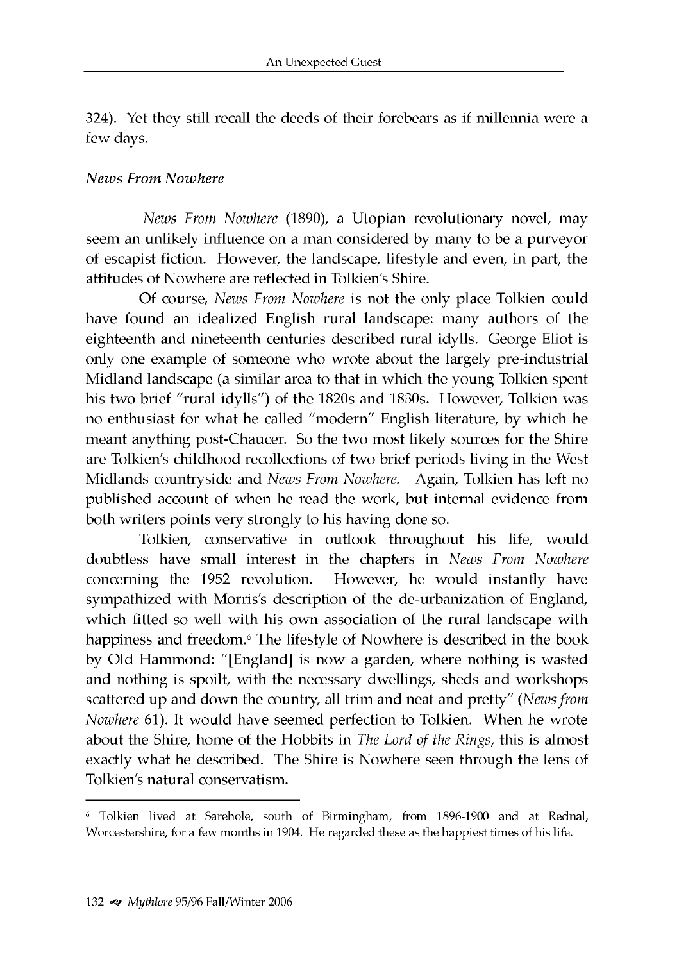324). Yet they still recall the deeds of their forebears as if millennia were a few days.

### *N ews From Nowhere*

*News From Nowhere* (1890), a Utopian revolutionary novel, may seem an unlikely influence on a man considered by many to be a purveyor of escapist fiction. However, the landscape, lifestyle and even, in part, the attitudes of Nowhere are reflected in Tolkien's Shire.

Of course, *News From Nowhere* is not the only place Tolkien could have found an idealized English rural landscape: many authors of the eighteenth and nineteenth centuries described rural idylls. George Eliot is only one example of someone who wrote about the largely pre-industrial Midland landscape (a similar area to that in which the young Tolkien spent his two brief "rural idylls") of the 1820s and 1830s. However, Tolkien was no enthusiast for what he called "modern" English literature, by which he meant anything post-Chaucer. So the two most likely sources for the Shire are Tolkien's childhood recollections of two brief periods living in the West M idlands countryside and *News From Nowhere.* Again, Tolkien has left no published account of when he read the work, but internal evidence from both writers points very strongly to his having done so.

Tolkien, conservative in outlook throughout his life, would doubtless have small interest in the chapters in *News From Nowhere* concerning the 1952 revolution. However, he would instantly have sympathized with Morris's description of the de-urbanization of England, which fitted so well with his own association of the rural landscape with happiness and freedom.<sup>6</sup> The lifestyle of Nowhere is described in the book by Old Hammond: "[England] is now a garden, where nothing is wasted and nothing is spoilt, with the necessary dwellings, sheds and workshops scattered up and down the country, all trim and neat and pretty" *(News from Nowhere* 61). It would have seemed perfection to Tolkien. When he wrote about the Shire, home of the Hobbits in *The Lord of the Rings,* this is almost exactly what he described. The Shire is Nowhere seen through the lens of Tolkien's natural conservatism.

<sup>6</sup> Tolkien lived at Sarehole, south of Birmingham, from 1896-1900 and at Rednal, Worcestershire, for a few months in 1904. He regarded these as the happiest times of his life.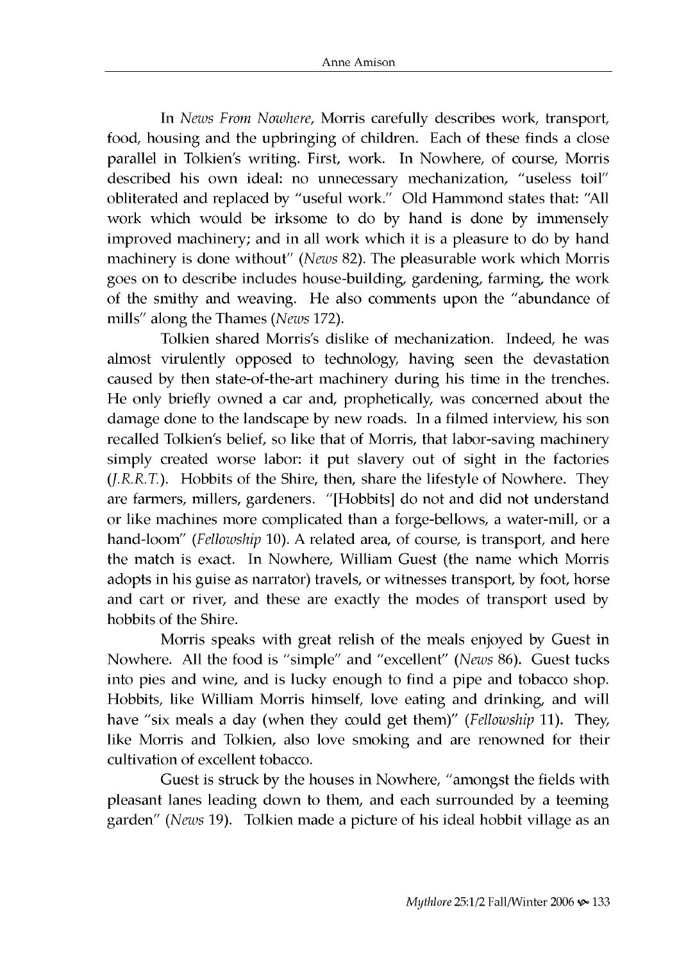In *News From Nowhere*, Morris carefully describes work, transport, food, housing and the upbringing of children. Each of these finds a close parallel in Tolkien's writing. First, work. In Nowhere, of course, Morris described his own ideal: no unnecessary mechanization, "useless toil" obliterated and replaced by "useful work." Old Hammond states that: "All work which would be irksome to do by hand is done by immensely im proved machinery; and in all work which it is a pleasure to do by hand machinery is done without" *(News 82)*. The pleasurable work which Morris goes on to describe includes house-building, gardening, farming, the work of the smithy and weaving. He also comments upon the "abundance of mills" along the Thames *(News* 172).

Tolkien shared Morris's dislike of mechanization. Indeed, he was almost virulently opposed to technology, having seen the devastation caused by then state-of-the-art machinery during his time in the trenches. He only briefly owned a car and, prophetically, was concerned about the dam age done to the landscape by new roads. In a filmed interview, his son recalled Tolkien's belief, so like that of Morris, that labor-saving machinery simply created worse labor: it put slavery out of sight in the factories *(J.R.R.T.).* Hobbits of the Shire, then, share the lifestyle of Nowhere. They are farmers, millers, gardeners. "[Hobbits] do not and did not understand or like machines more complicated than a forge-bellows, a water-mill, or a hand-loom" (Fellowship 10). A related area, of course, is transport, and here the match is exact. In Nowhere, William Guest (the name which Morris adopts in his guise as narrator) travels, or witnesses transport, by foot, horse and cart or river, and these are exactly the modes of transport used by hobbits of the Shire.

Morris speaks with great relish of the meals enjoyed by Guest in Nowhere. All the food is "simple" and "excellent" *(News 86)*. Guest tucks into pies and wine, and is lucky enough to find a pipe and tobacco shop. Hobbits, like William Morris himself, love eating and drinking, and will have "six meals a day (when they could get them)" *(Fellowship* 11). They, like Morris and Tolkien, also love smoking and are renowned for their cultivation of excellent tobacco.

Guest is struck by the houses in Nowhere, "amongst the fields with pleasant lanes leading down to them, and each surrounded by a teeming garden" *(News* 19). Tolkien made a picture of his ideal hobbit village as an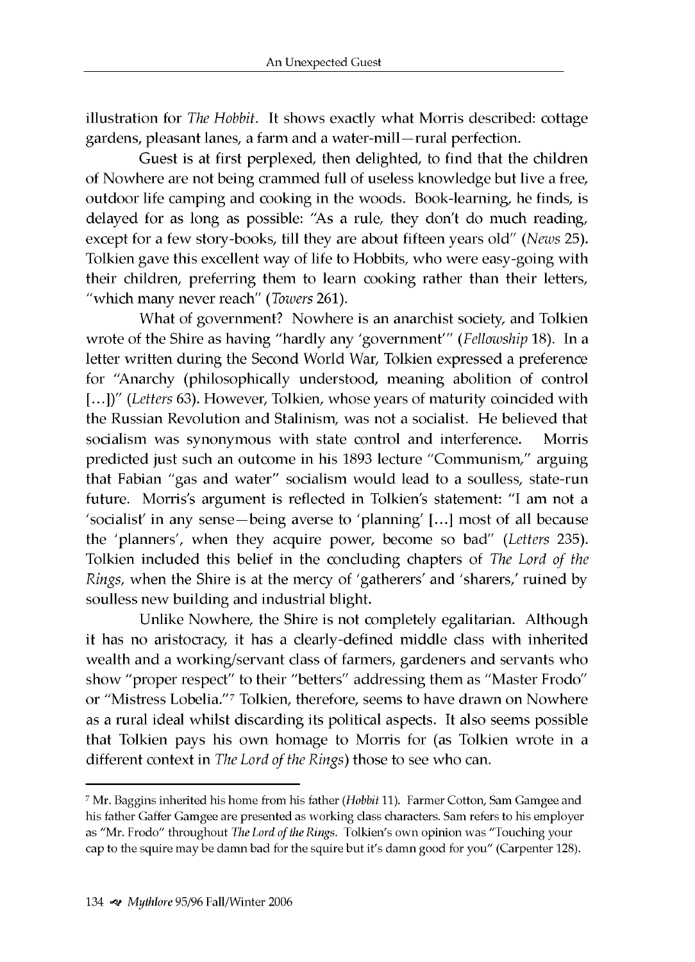illustration for *The Hobbit*. It shows exactly what Morris described: cottage gardens, pleasant lanes, a farm and a water-mill—rural perfection.

Guest is at first perplexed, then delighted, to find that the children of Nowhere are not being crammed full of useless knowledge but live a free, outdoor life camping and cooking in the woods. Book-learning, he finds, is delayed for as long as possible: "As a rule, they don't do much reading, except for a few story-books, till they are about fifteen years old" *(News* 25). Tolkien gave this excellent way of life to Hobbits, who were easy-going with their children, preferring them to learn cooking rather than their letters, "which m any never reach" *(Towers* 261).

What of government? Nowhere is an anarchist society, and Tolkien wrote of the Shire as having "hardly any 'government'" *(Fellowship* 18). In a letter written during the Second World War, Tolkien expressed a preference for "Anarchy (philosophically understood, meaning abolition of control [...])" *(Letters* 63). However, Tolkien, whose years of maturity coincided with the Russian Revolution and Stalinism, was not a socialist. He believed that socialism was synonymous with state control and interference. Morris predicted just such an outcome in his 1893 lecture "Communism," arguing that Fabian "gas and water" socialism would lead to a soulless, state-run future. Morris's argument is reflected in Tolkien's statement: "I am not a 'socialist' in any sense-being averse to 'planning' [...] most of all because the 'planners', w hen they acquire power, become so bad" *(Letters* 235). Tolkien included this belief in the concluding chapters of *The Lord of the Rings,* when the Shire is at the mercy of 'gatherers' and 'sharers,' ruined by soulless new building and industrial blight.

Unlike Nowhere, the Shire is not completely egalitarian. Although it has no aristocracy, it has a clearly-defined middle class with inherited wealth and a working/servant class of farmers, gardeners and servants who show "proper respect" to their "betters" addressing them as "Master Frodo" or "Mistress Lobelia."<sup>7</sup> Tolkien, therefore, seems to have drawn on Nowhere as a rural ideal whilst discarding its political aspects. It also seems possible that Tolkien pays his own homage to Morris for (as Tolkien wrote in a different context in *The Lord of the Rings*) those to see who can.

<sup>7</sup> Mr. Baggins inherited his home from his father *(Hobbit* 11). Farmer Cotton, Sam Gamgee and his father Gaffer Gamgee are presented as working class characters. Sam refers to his employer as "Mr. Frodo" throughout *The Lord of the Rings.* Tolkien's own opinion was "Touching your cap to the squire may be damn bad for the squire but it's damn good for you" (Carpenter 128).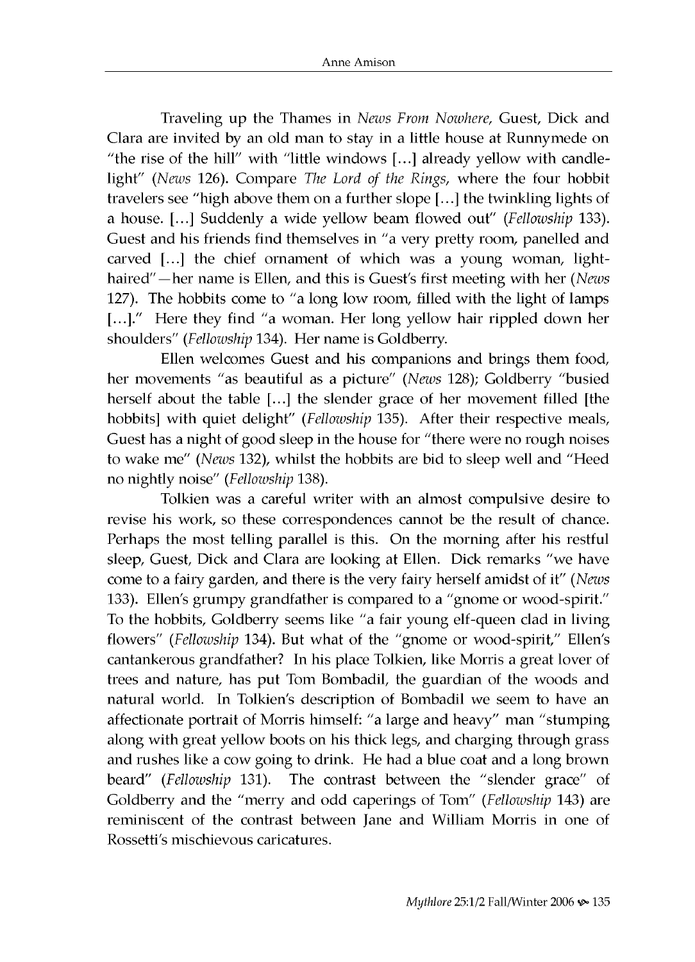Traveling up the Thames in *News From Nowhere,* Guest, Dick and Clara are invited by an old man to stay in a little house at Runnymede on "the rise of the hill" with "little windows  $[...]$  already yellow with candlelight" (News 126). Compare *The Lord of the Rings*, where the four hobbit travelers see "high above them on a further slope [...] the twinkling lights of a house. [...] Suddenly a wide yellow beam flowed out" *(Fellowship* 133). Guest and his friends find themselves in "a very pretty room, panelled and carved [...] the chief ornament of which was a young woman, lighthaired"—her name is Ellen, and this is Guest's first meeting with her *(News* 127). The hobbits come to "a long low room, filled with the light of lamps [...]." Here they find "a woman. Her long yellow hair rippled down her shoulders" (Fellowship 134). Her name is Goldberry.

Ellen welcomes Guest and his companions and brings them food, her movements "as beautiful as a picture" (News 128); Goldberry "busied herself about the table [...] the slender grace of her movement filled [the hobbits] with quiet delight" (Fellowship 135). After their respective meals, Guest has a night of good sleep in the house for "there were no rough noises to wake me" (News 132), whilst the hobbits are bid to sleep well and "Heed no nightly noise" *(Fellowship* 138).

Tolkien was a careful writer with an almost compulsive desire to revise his work, so these correspondences cannot be the result of chance. Perhaps the most telling parallel is this. On the morning after his restful sleep, Guest, Dick and Clara are looking at Ellen. Dick remarks "we have come to a fairy garden, and there is the very fairy herself amidst of it" (News 133). Ellen's grumpy grandfather is compared to a "gnome or wood-spirit." To the hobbits, Goldberry seems like "a fair young elf-queen clad in living flowers" (Fellowship 134). But what of the "gnome or wood-spirit," Ellen's cantankerous grandfather? In his place Tolkien, like Morris a great lover of trees and nature, has put Tom Bombadil, the guardian of the woods and natural world. In Tolkien's description of Bombadil we seem to have an affectionate portrait of Morris himself: "a large and heavy" man "stumping along with great yellow boots on his thick legs, and charging through grass and rushes like a cow going to drink. He had a blue coat and a long brown beard" (Fellowship 131). The contrast between the "slender grace" of Goldberry and the "merry and odd caperings of Tom" (Fellowship 143) are reminiscent of the contrast between Jane and William Morris in one of Rossetti's mischievous caricatures.